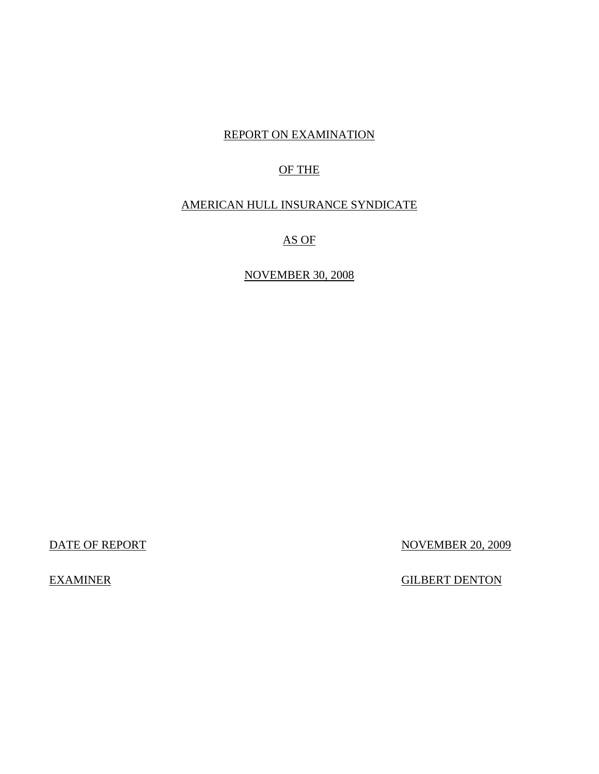### REPORT ON EXAMINATION

# OF THE

### AMERICAN HULL INSURANCE SYNDICATE

# AS OF

### NOVEMBER 30, 2008

DATE OF REPORT NOVEMBER 20, 2009

**EXAMINER** 

**GILBERT DENTON**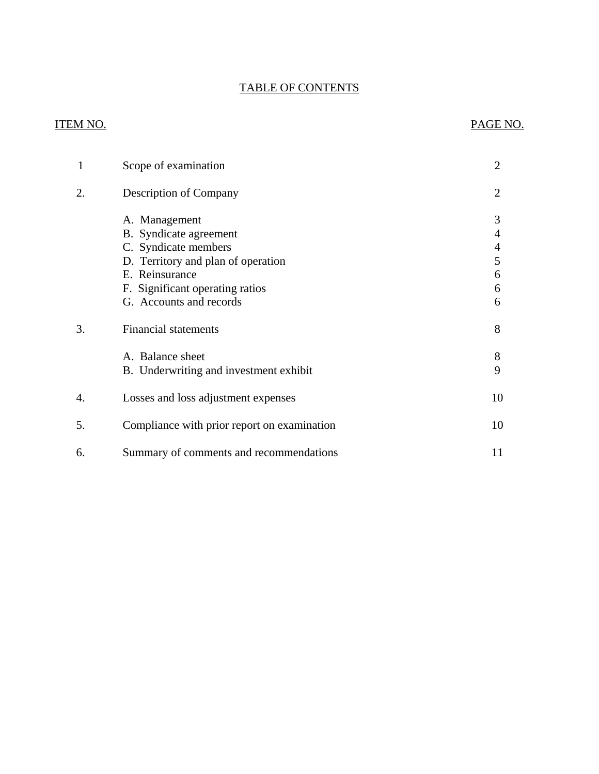# TABLE OF CONTENTS

# **ITEM NO.**

### PAGE NO.

| $\mathbf{1}$ | Scope of examination                                                                                                                                                                  |                                 |
|--------------|---------------------------------------------------------------------------------------------------------------------------------------------------------------------------------------|---------------------------------|
| 2.           | <b>Description of Company</b>                                                                                                                                                         | 2                               |
|              | A. Management<br>B. Syndicate agreement<br>C. Syndicate members<br>D. Territory and plan of operation<br>E. Reinsurance<br>F. Significant operating ratios<br>G. Accounts and records | 3<br>4<br>4<br>5<br>6<br>6<br>6 |
| 3.           | <b>Financial statements</b>                                                                                                                                                           | 8                               |
|              | A. Balance sheet<br>B. Underwriting and investment exhibit                                                                                                                            | 8<br>9                          |
| 4.           | Losses and loss adjustment expenses                                                                                                                                                   | 10                              |
| 5.           | Compliance with prior report on examination                                                                                                                                           | 10                              |
| 6.           | Summary of comments and recommendations                                                                                                                                               | 11                              |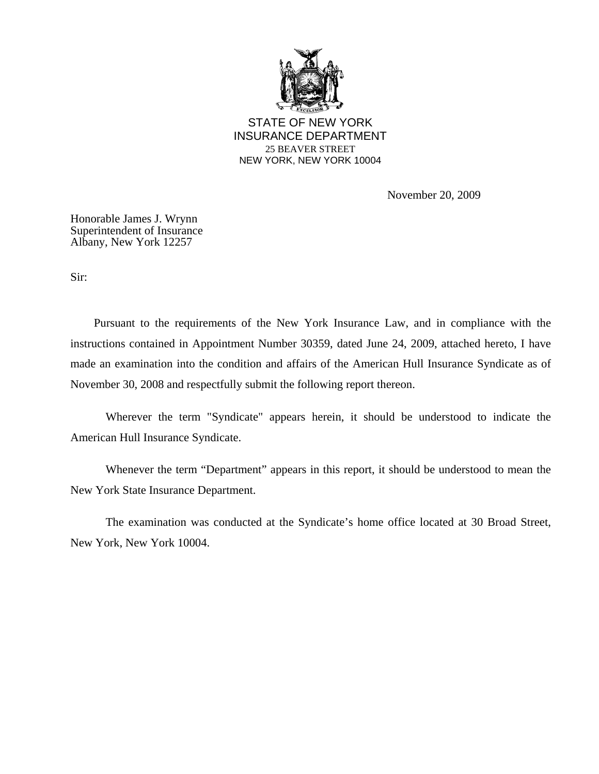

STATE OF NEW YORK INSURANCE DEPARTMENT 25 BEAVER STREET NEW YORK, NEW YORK 10004

November 20, 2009

Honorable James J. Wrynn Superintendent of Insurance Albany, New York 12257

Sir:

Pursuant to the requirements of the New York Insurance Law, and in compliance with the instructions contained in Appointment Number 30359, dated June 24, 2009, attached hereto, I have made an examination into the condition and affairs of the American Hull Insurance Syndicate as of November 30, 2008 and respectfully submit the following report thereon.

Wherever the term "Syndicate" appears herein, it should be understood to indicate the American Hull Insurance Syndicate.

Whenever the term "Department" appears in this report, it should be understood to mean the New York State Insurance Department.

The examination was conducted at the Syndicate's home office located at 30 Broad Street, New York, New York 10004.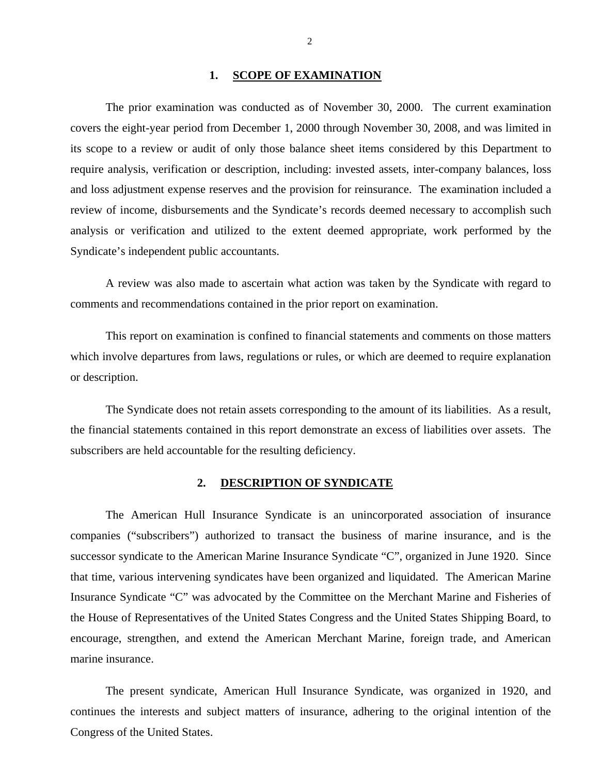#### 1. **SCOPE OF EXAMINATION**

<span id="page-4-0"></span>The prior examination was conducted as of November 30, 2000. The current examination covers the eight-year period from December 1, 2000 through November 30, 2008, and was limited in its scope to a review or audit of only those balance sheet items considered by this Department to require analysis, verification or description, including: invested assets, inter-company balances, loss and loss adjustment expense reserves and the provision for reinsurance. The examination included a review of income, disbursements and the Syndicate's records deemed necessary to accomplish such analysis or verification and utilized to the extent deemed appropriate, work performed by the Syndicate's independent public accountants.

A review was also made to ascertain what action was taken by the Syndicate with regard to comments and recommendations contained in the prior report on examination.

This report on examination is confined to financial statements and comments on those matters which involve departures from laws, regulations or rules, or which are deemed to require explanation or description.

The Syndicate does not retain assets corresponding to the amount of its liabilities. As a result, the financial statements contained in this report demonstrate an excess of liabilities over assets. The subscribers are held accountable for the resulting deficiency.

#### **2. DESCRIPTION OF SYNDICATE**

The American Hull Insurance Syndicate is an unincorporated association of insurance companies ("subscribers") authorized to transact the business of marine insurance, and is the successor syndicate to the American Marine Insurance Syndicate "C", organized in June 1920. Since that time, various intervening syndicates have been organized and liquidated. The American Marine Insurance Syndicate "C" was advocated by the Committee on the Merchant Marine and Fisheries of the House of Representatives of the United States Congress and the United States Shipping Board, to encourage, strengthen, and extend the American Merchant Marine, foreign trade, and American marine insurance.

The present syndicate, American Hull Insurance Syndicate, was organized in 1920, and continues the interests and subject matters of insurance, adhering to the original intention of the Congress of the United States.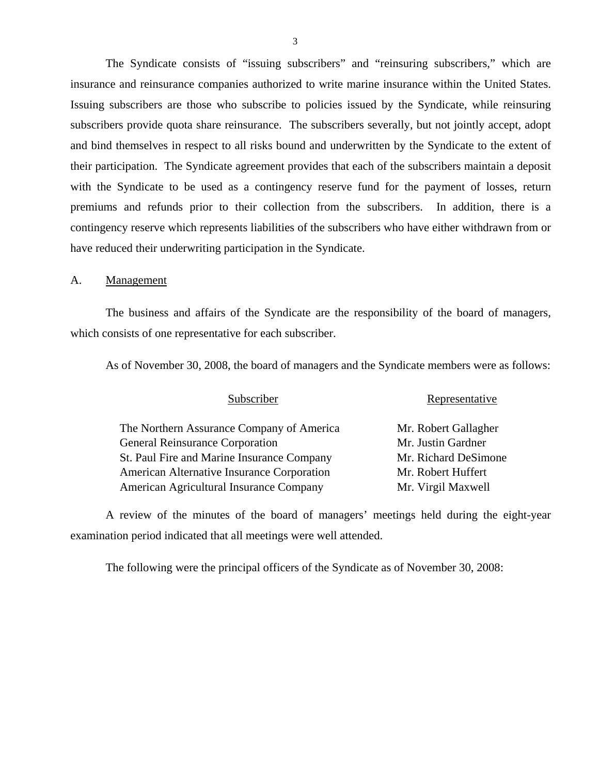The Syndicate consists of "issuing subscribers" and "reinsuring subscribers," which are insurance and reinsurance companies authorized to write marine insurance within the United States. Issuing subscribers are those who subscribe to policies issued by the Syndicate, while reinsuring subscribers provide quota share reinsurance. The subscribers severally, but not jointly accept, adopt and bind themselves in respect to all risks bound and underwritten by the Syndicate to the extent of their participation. The Syndicate agreement provides that each of the subscribers maintain a deposit with the Syndicate to be used as a contingency reserve fund for the payment of losses, return premiums and refunds prior to their collection from the subscribers. In addition, there is a contingency reserve which represents liabilities of the subscribers who have either withdrawn from or have reduced their underwriting participation in the Syndicate.

A. Management

The business and affairs of the Syndicate are the responsibility of the board of managers, which consists of one representative for each subscriber.

As of November 30, 2008, the board of managers and the Syndicate members were as follows:

| Subscriber                                 | Representative       |  |
|--------------------------------------------|----------------------|--|
| The Northern Assurance Company of America  | Mr. Robert Gallagher |  |
| <b>General Reinsurance Corporation</b>     | Mr. Justin Gardner   |  |
| St. Paul Fire and Marine Insurance Company | Mr. Richard DeSimone |  |
| American Alternative Insurance Corporation | Mr. Robert Huffert   |  |
| American Agricultural Insurance Company    | Mr. Virgil Maxwell   |  |

A review of the minutes of the board of managers' meetings held during the eight-year examination period indicated that all meetings were well attended.

The following were the principal officers of the Syndicate as of November 30, 2008: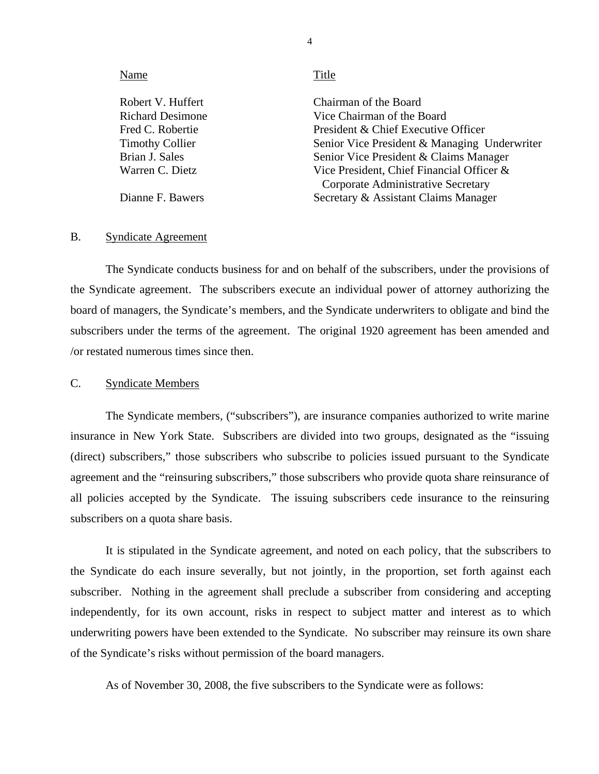<span id="page-6-0"></span>

| Name                    | Title                                        |
|-------------------------|----------------------------------------------|
| Robert V. Huffert       | Chairman of the Board                        |
| <b>Richard Desimone</b> | Vice Chairman of the Board                   |
| Fred C. Robertie        | President & Chief Executive Officer          |
| <b>Timothy Collier</b>  | Senior Vice President & Managing Underwriter |
| Brian J. Sales          | Senior Vice President & Claims Manager       |
| Warren C. Dietz         | Vice President, Chief Financial Officer &    |
|                         | Corporate Administrative Secretary           |
| Dianne F. Bawers        | Secretary & Assistant Claims Manager         |

#### B. Syndicate Agreement

The Syndicate conducts business for and on behalf of the subscribers, under the provisions of the Syndicate agreement. The subscribers execute an individual power of attorney authorizing the board of managers, the Syndicate's members, and the Syndicate underwriters to obligate and bind the subscribers under the terms of the agreement. The original 1920 agreement has been amended and /or restated numerous times since then.

#### C. Syndicate Members

The Syndicate members, ("subscribers"), are insurance companies authorized to write marine insurance in New York State. Subscribers are divided into two groups, designated as the "issuing (direct) subscribers," those subscribers who subscribe to policies issued pursuant to the Syndicate agreement and the "reinsuring subscribers," those subscribers who provide quota share reinsurance of all policies accepted by the Syndicate. The issuing subscribers cede insurance to the reinsuring subscribers on a quota share basis.

It is stipulated in the Syndicate agreement, and noted on each policy, that the subscribers to the Syndicate do each insure severally, but not jointly, in the proportion, set forth against each subscriber. Nothing in the agreement shall preclude a subscriber from considering and accepting independently, for its own account, risks in respect to subject matter and interest as to which underwriting powers have been extended to the Syndicate. No subscriber may reinsure its own share of the Syndicate's risks without permission of the board managers.

As of November 30, 2008, the five subscribers to the Syndicate were as follows:

4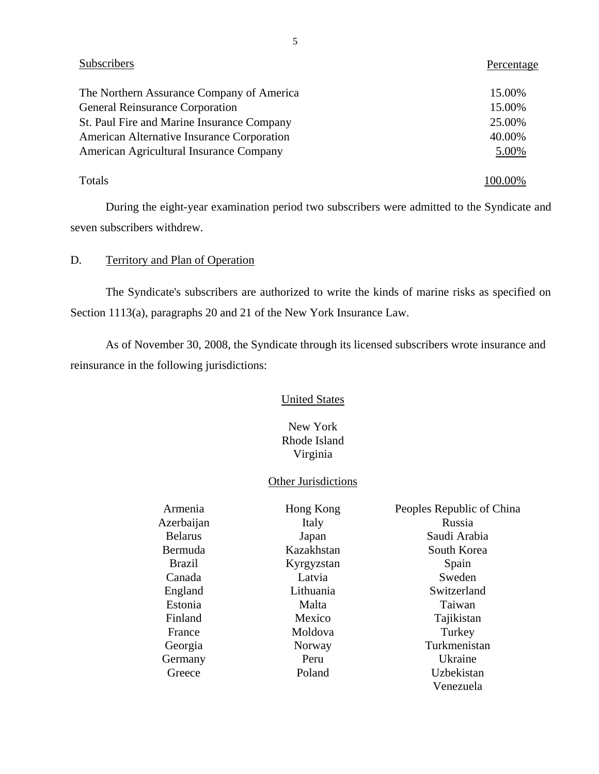| <b>Subscribers</b>                         | Percentage |
|--------------------------------------------|------------|
| The Northern Assurance Company of America  | 15.00%     |
| <b>General Reinsurance Corporation</b>     | 15.00%     |
| St. Paul Fire and Marine Insurance Company | 25.00%     |
| American Alternative Insurance Corporation | 40.00%     |
| American Agricultural Insurance Company    | 5.00%      |
| Totals                                     |            |

During the eight-year examination period two subscribers were admitted to the Syndicate and seven subscribers withdrew.

### D. Territory and Plan of Operation

The Syndicate's subscribers are authorized to write the kinds of marine risks as specified on Section 1113(a), paragraphs 20 and 21 of the New York Insurance Law.

As of November 30, 2008, the Syndicate through its licensed subscribers wrote insurance and reinsurance in the following jurisdictions:

#### **United States**

### New York Rhode Island Virginia

### Other Jurisdictions

|                | <b>Other Jurisdictions</b> |                           |
|----------------|----------------------------|---------------------------|
| Armenia        | Hong Kong                  | Peoples Republic of China |
| Azerbaijan     | Italy                      | Russia                    |
| <b>Belarus</b> | Japan                      | Saudi Arabia              |
| Bermuda        | Kazakhstan                 | South Korea               |
| <b>Brazil</b>  | Kyrgyzstan                 | Spain                     |
| Canada         | Latvia                     | Sweden                    |
| England        | Lithuania                  | Switzerland               |
| Estonia        | Malta                      | Taiwan                    |
| Finland        | Mexico                     | Tajikistan                |
| France         | Moldova                    | Turkey                    |
| Georgia        | Norway                     | Turkmenistan              |
| Germany        | Peru                       | Ukraine                   |
| Greece         | Poland                     | Uzbekistan                |
|                |                            | Venezuela                 |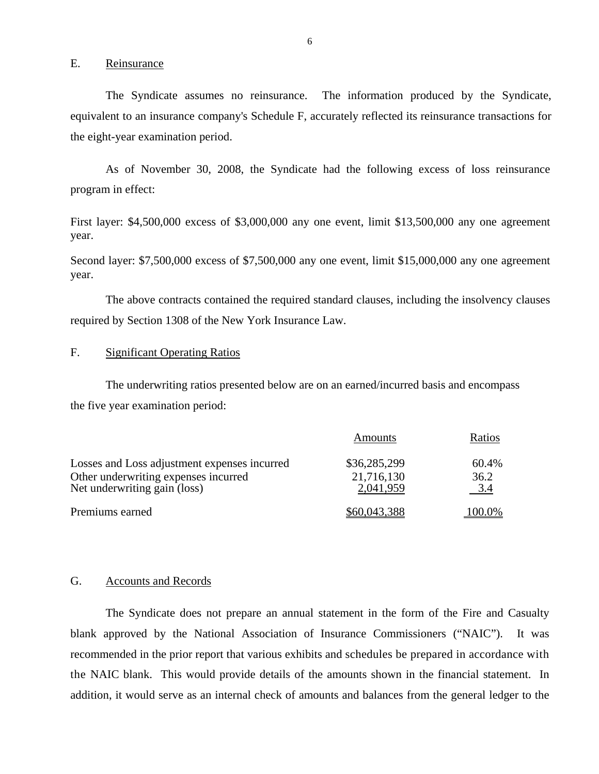E. Reinsurance

The Syndicate assumes no reinsurance. The information produced by the Syndicate, equivalent to an insurance company's Schedule F, accurately reflected its reinsurance transactions for the eight-year examination period.

As of November 30, 2008, the Syndicate had the following excess of loss reinsurance program in effect:

First layer: \$4,500,000 excess of \$3,000,000 any one event, limit \$13,500,000 any one agreement year.

Second layer: \$7,500,000 excess of \$7,500,000 any one event, limit \$15,000,000 any one agreement year.

The above contracts contained the required standard clauses, including the insolvency clauses required by Section 1308 of the New York Insurance Law.

#### F. Significant Operating Ratios

The underwriting ratios presented below are on an earned/incurred basis and encompass the five year examination period:

|                                                                      | Amounts                 | Ratios      |
|----------------------------------------------------------------------|-------------------------|-------------|
| Losses and Loss adjustment expenses incurred                         | \$36,285,299            | 60.4%       |
| Other underwriting expenses incurred<br>Net underwriting gain (loss) | 21,716,130<br>2,041,959 | 36.2<br>3.4 |
| Premiums earned                                                      | \$60,043,388            | 100.0%      |

#### G. Accounts and Records

The Syndicate does not prepare an annual statement in the form of the Fire and Casualty blank approved by the National Association of Insurance Commissioners ("NAIC"). It was recommended in the prior report that various exhibits and schedules be prepared in accordance with the NAIC blank. This would provide details of the amounts shown in the financial statement. In addition, it would serve as an internal check of amounts and balances from the general ledger to the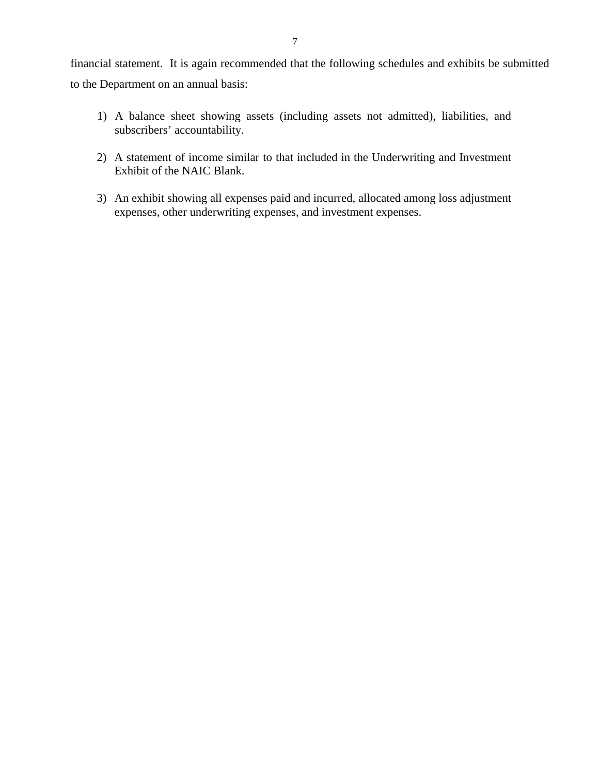financial statement. It is again recommended that the following schedules and exhibits be submitted to the Department on an annual basis:

- 1) A balance sheet showing assets (including assets not admitted), liabilities, and subscribers' accountability.
- 2) A statement of income similar to that included in the Underwriting and Investment Exhibit of the NAIC Blank.
- 3) An exhibit showing all expenses paid and incurred, allocated among loss adjustment expenses, other underwriting expenses, and investment expenses.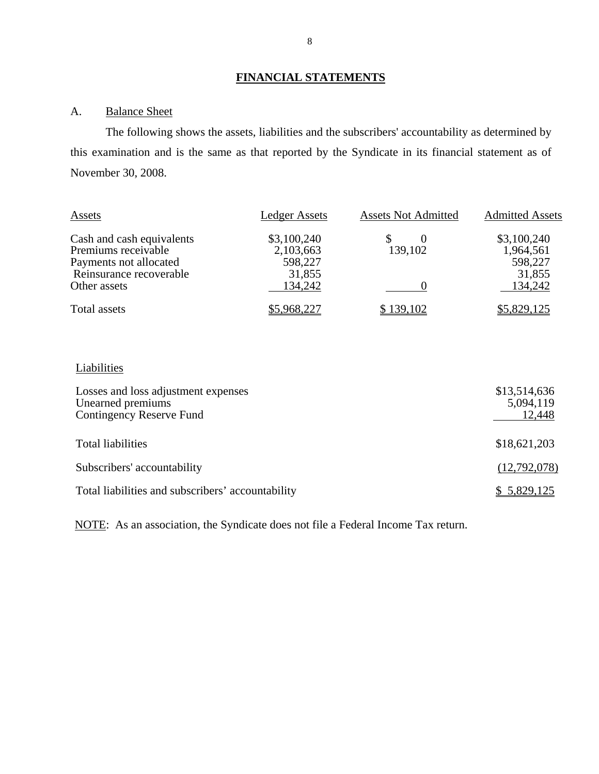### **FINANCIAL STATEMENTS**

### A. Balance Sheet

The following shows the assets, liabilities and the subscribers' accountability as determined by this examination and is the same as that reported by the Syndicate in its financial statement as of November 30, 2008.

| Assets                    | <b>Ledger Assets</b> | <b>Assets Not Admitted</b> | <b>Admitted Assets</b> |
|---------------------------|----------------------|----------------------------|------------------------|
| Cash and cash equivalents | \$3,100,240          |                            | \$3,100,240            |
| Premiums receivable       | 2,103,663            | 139,102                    | 1,964,561              |
| Payments not allocated    | 598,227              |                            | 598,227                |
| Reinsurance recoverable   | 31,855               |                            | 31,855                 |
| Other assets              | 134,242              |                            | 134,242                |
| Total assets              | \$5,968,227          | \$139,102                  | \$5,829,125            |

### **Liabilities**

| Losses and loss adjustment expenses<br>Unearned premiums<br>Contingency Reserve Fund | \$13,514,636<br>5,094,119<br>12,448 |
|--------------------------------------------------------------------------------------|-------------------------------------|
| <b>Total liabilities</b>                                                             | \$18,621,203                        |
| Subscribers' accountability                                                          | (12,792,078)                        |
| Total liabilities and subscribers' accountability                                    | \$5,829,125                         |

NOTE: As an association, the Syndicate does not file a Federal Income Tax return.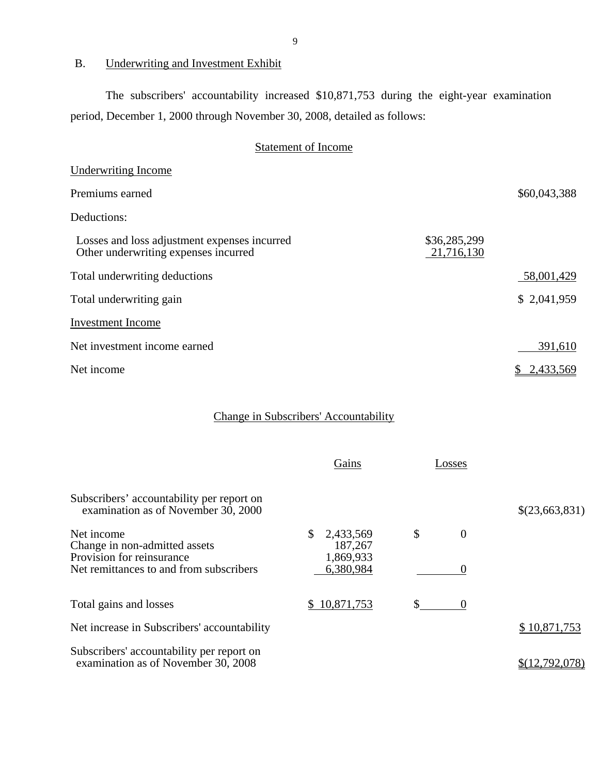### B. Underwriting and Investment Exhibit

The subscribers' accountability increased \$10,871,753 during the eight-year examination period, December 1, 2000 through November 30, 2008, detailed as follows:

# Statement of Income

|                            | \$60,043,388 |
|----------------------------|--------------|
|                            |              |
| \$36,285,299<br>21,716,130 |              |
|                            | 58,001,429   |
|                            | \$2,041,959  |
|                            |              |
|                            | 391,610      |
|                            | \$2,433,569  |
|                            |              |

# Change in Subscribers' Accountability

|                                                                                  | Gains                             | Losses         |                |
|----------------------------------------------------------------------------------|-----------------------------------|----------------|----------------|
| Subscribers' accountability per report on<br>examination as of November 30, 2000 |                                   |                | \$(23,663,831) |
| Net income<br>Change in non-admitted assets<br>Provision for reinsurance         | 2,433,569<br>187,267<br>1,869,933 | \$<br>$\theta$ |                |
| Net remittances to and from subscribers                                          | 6,380,984                         |                |                |
| Total gains and losses                                                           | 10,871,753<br>S.                  | $\mathbb{S}^-$ |                |
| Net increase in Subscribers' accountability                                      |                                   |                | \$10,871,753   |
| Subscribers' accountability per report on<br>examination as of November 30, 2008 |                                   |                |                |

9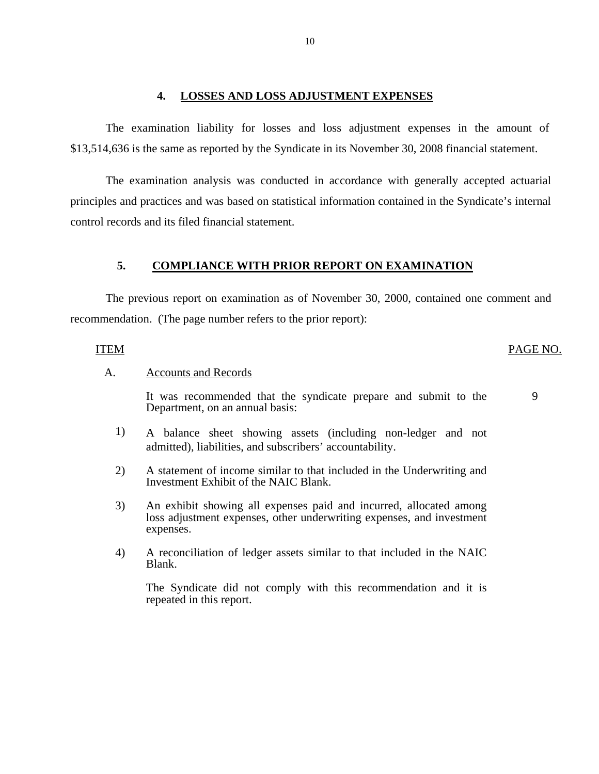#### **4. LOSSES AND LOSS ADJUSTMENT EXPENSES**

The examination liability for losses and loss adjustment expenses in the amount of \$13,514,636 is the same as reported by the Syndicate in its November 30, 2008 financial statement.

The examination analysis was conducted in accordance with generally accepted actuarial principles and practices and was based on statistical information contained in the Syndicate's internal control records and its filed financial statement.

#### **5. COMPLIANCE WITH PRIOR REPORT ON EXAMINATION**

The previous report on examination as of November 30, 2000, contained one comment and recommendation. (The page number refers to the prior report):

#### **ITEM**

#### PAGE NO.

9

**Accounts and Records** 

A. Accounts and Records<br>It was recommended that the syndicate prepare and submit to the Department, on an annual basis:

- 1) A balance sheet showing assets (including non-ledger and not admitted), liabilities, and subscribers' accountability.
- 2) A statement of income similar to that included in the Underwriting and Investment Exhibit of the NAIC Blank.
- 3) An exhibit showing all expenses paid and incurred, allocated among loss adjustment expenses, other underwriting expenses, and investment expenses.
- 4) A reconciliation of ledger assets similar to that included in the NAIC Blank.

The Syndicate did not comply with this recommendation and it is repeated in this report.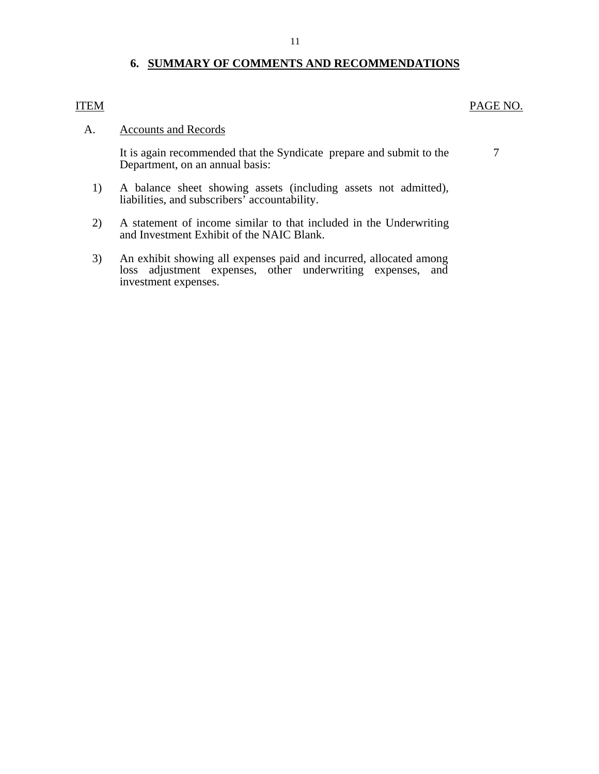### **6. SUMMARY OF COMMENTS AND RECOMMENDATIONS**

#### <span id="page-13-0"></span>**ITEM**

### PAGE NO.

#### **Accounts and Records**

A. Accounts and Records<br>It is again recommended that the Syndicate prepare and submit to the 7 Department, on an annual basis:

- 1) A balance sheet showing assets (including assets not admitted), liabilities, and subscribers' accountability.
- 2) A statement of income similar to that included in the Underwriting and Investment Exhibit of the NAIC Blank.
- 3) An exhibit showing all expenses paid and incurred, allocated among loss adjustment expenses, other underwriting expenses, and investment expenses.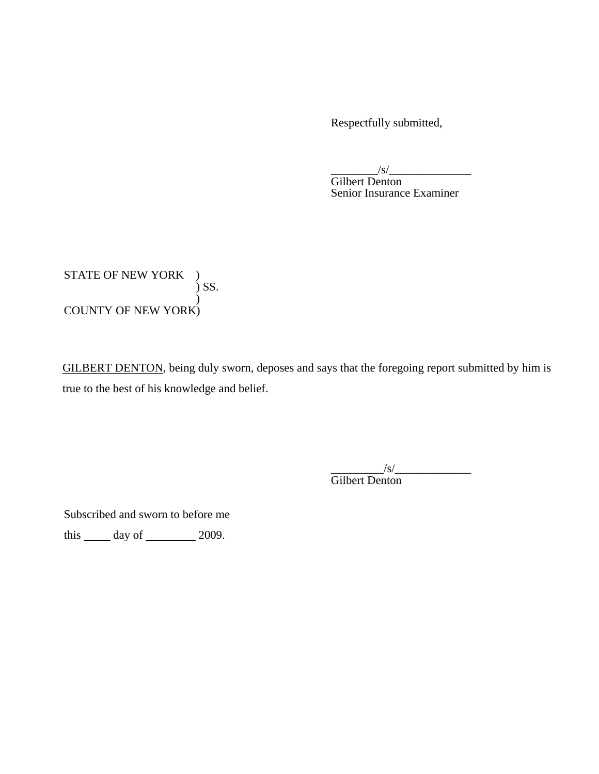Respectfully submitted,

\_\_\_\_\_\_\_\_/s/\_\_\_\_\_\_\_\_\_\_\_\_\_\_

Gilbert Denton Senior Insurance Examiner

 STATE OF NEW YORK ) ) SS.  $\mathcal{L}$ COUNTY OF NEW YORK)

GILBERT DENTON, being duly sworn, deposes and says that the foregoing report submitted by him is true to the best of his knowledge and belief.

> $\frac{1}{s}$ Gilbert Denton

Subscribed and sworn to before me

this  $\_\_\_\$  day of  $\_\_\_\_\_\$  2009.